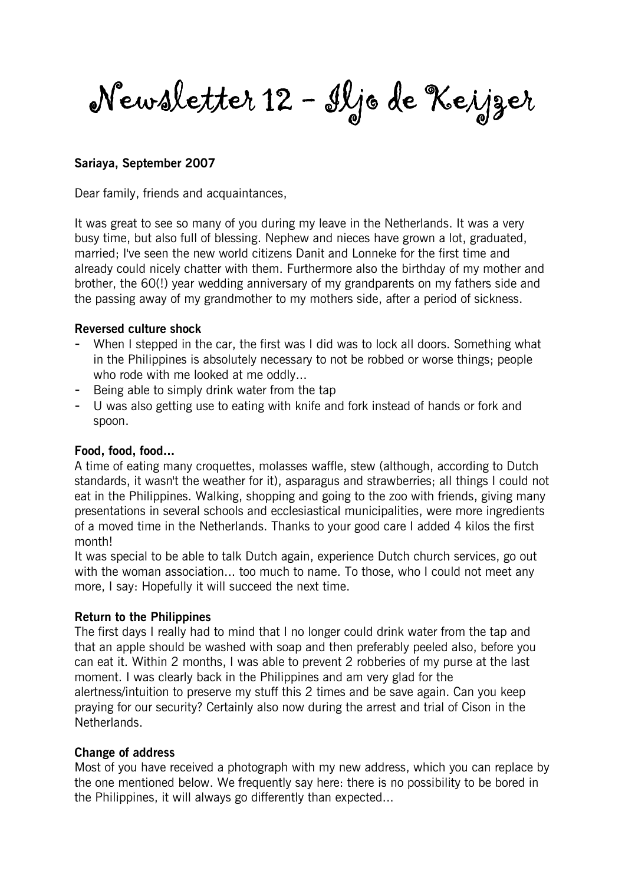Newsletter 12 - Iljo de Keijzer

## Sariaya, September 2007

Dear family, friends and acquaintances,

It was great to see so many of you during my leave in the Netherlands. It was a very busy time, but also full of blessing. Nephew and nieces have grown a lot, graduated, married; I've seen the new world citizens Danit and Lonneke for the first time and already could nicely chatter with them. Furthermore also the birthday of my mother and brother, the 60(!) year wedding anniversary of my grandparents on my fathers side and the passing away of my grandmother to my mothers side, after a period of sickness.

#### Reversed culture shock

- When I stepped in the car, the first was I did was to lock all doors. Something what in the Philippines is absolutely necessary to not be robbed or worse things; people who rode with me looked at me oddly...
- Being able to simply drink water from the tap
- U was also getting use to eating with knife and fork instead of hands or fork and spoon.

#### Food, food, food...

A time of eating many croquettes, molasses waffle, stew (although, according to Dutch standards, it wasn't the weather for it), asparagus and strawberries; all things I could not eat in the Philippines. Walking, shopping and going to the zoo with friends, giving many presentations in several schools and ecclesiastical municipalities, were more ingredients of a moved time in the Netherlands. Thanks to your good care I added 4 kilos the first month!

It was special to be able to talk Dutch again, experience Dutch church services, go out with the woman association... too much to name. To those, who I could not meet any more, I say: Hopefully it will succeed the next time.

#### Return to the Philippines

The first days I really had to mind that I no longer could drink water from the tap and that an apple should be washed with soap and then preferably peeled also, before you can eat it. Within 2 months, I was able to prevent 2 robberies of my purse at the last moment. I was clearly back in the Philippines and am very glad for the alertness/intuition to preserve my stuff this 2 times and be save again. Can you keep praying for our security? Certainly also now during the arrest and trial of Cison in the Netherlands.

#### Change of address

Most of you have received a photograph with my new address, which you can replace by the one mentioned below. We frequently say here: there is no possibility to be bored in the Philippines, it will always go differently than expected...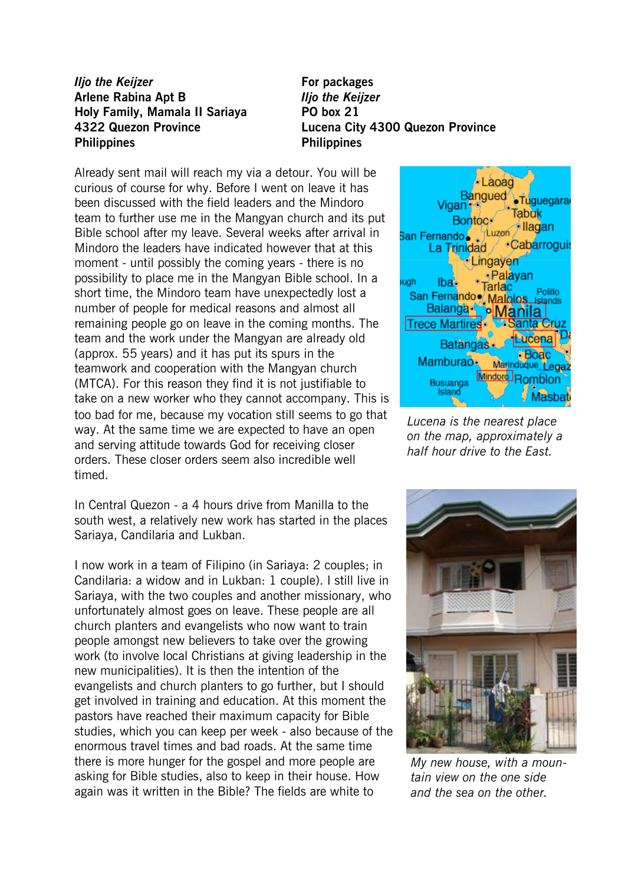# Iljo the Keijzer **For packages** Arlene Rabina Apt B **Iljo the Keijzer** Holy Family, Mamala II Sariaya PO box 21 Philippines Philippines

4322 Quezon Province Lucena City 4300 Quezon Province

Already sent mail will reach my via a detour. You will be curious of course for why. Before I went on leave it has been discussed with the field leaders and the Mindoro team to further use me in the Mangyan church and its put Bible school after my leave. Several weeks after arrival in Mindoro the leaders have indicated however that at this moment - until possibly the coming years - there is no possibility to place me in the Mangyan Bible school. In a short time, the Mindoro team have unexpectedly lost a number of people for medical reasons and almost all remaining people go on leave in the coming months. The team and the work under the Mangyan are already old (approx. 55 years) and it has put its spurs in the teamwork and cooperation with the Mangyan church (MTCA). For this reason they find it is not justifiable to take on a new worker who they cannot accompany. This is too bad for me, because my vocation still seems to go that way. At the same time we are expected to have an open and serving attitude towards God for receiving closer orders. These closer orders seem also incredible well timed.

In Central Quezon - a 4 hours drive from Manilla to the south west, a relatively new work has started in the places Sariaya, Candilaria and Lukban.

I now work in a team of Filipino (in Sariaya: 2 couples; in Candilaria: a widow and in Lukban: 1 couple). I still live in Sariaya, with the two couples and another missionary, who unfortunately almost goes on leave. These people are all church planters and evangelists who now want to train people amongst new believers to take over the growing work (to involve local Christians at giving leadership in the new municipalities). It is then the intention of the evangelists and church planters to go further, but I should get involved in training and education. At this moment the pastors have reached their maximum capacity for Bible studies, which you can keep per week - also because of the enormous travel times and bad roads. At the same time there is more hunger for the gospel and more people are asking for Bible studies, also to keep in their house. How again was it written in the Bible? The fields are white to



Lucena is the nearest place on the map, approximately a half hour drive to the East.



My new house, with a mountain view on the one side and the sea on the other.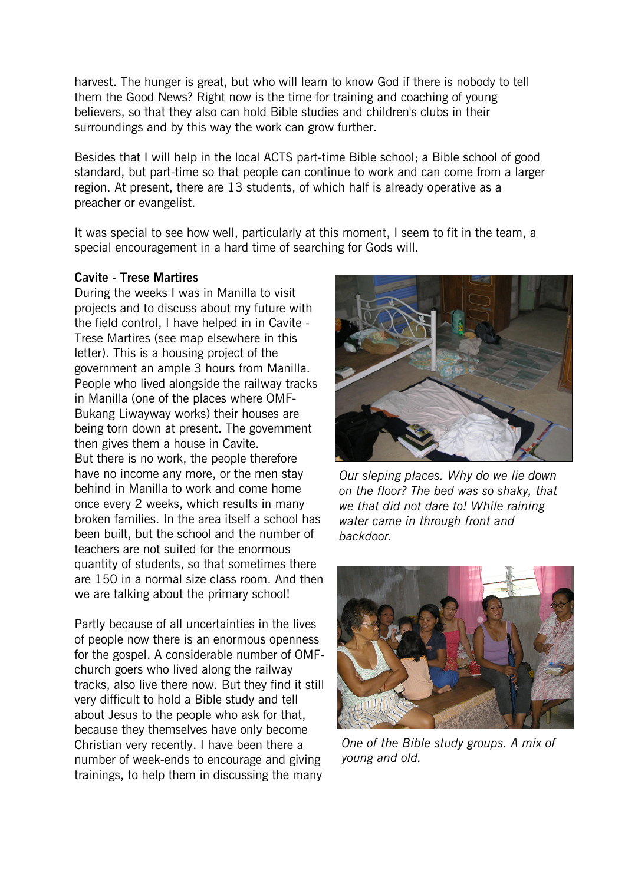harvest. The hunger is great, but who will learn to know God if there is nobody to tell them the Good News? Right now is the time for training and coaching of young believers, so that they also can hold Bible studies and children's clubs in their surroundings and by this way the work can grow further.

Besides that I will help in the local ACTS part-time Bible school; a Bible school of good standard, but part-time so that people can continue to work and can come from a larger region. At present, there are 13 students, of which half is already operative as a preacher or evangelist.

It was special to see how well, particularly at this moment, I seem to fit in the team, a special encouragement in a hard time of searching for Gods will.

### Cavite - Trese Martires

During the weeks I was in Manilla to visit projects and to discuss about my future with the field control, I have helped in in Cavite - Trese Martires (see map elsewhere in this letter). This is a housing project of the government an ample 3 hours from Manilla. People who lived alongside the railway tracks in Manilla (one of the places where OMF-Bukang Liwayway works) their houses are being torn down at present. The government then gives them a house in Cavite. But there is no work, the people therefore have no income any more, or the men stay behind in Manilla to work and come home once every 2 weeks, which results in many broken families. In the area itself a school has been built, but the school and the number of teachers are not suited for the enormous quantity of students, so that sometimes there are 150 in a normal size class room. And then we are talking about the primary school!

Partly because of all uncertainties in the lives of people now there is an enormous openness for the gospel. A considerable number of OMFchurch goers who lived along the railway tracks, also live there now. But they find it still very difficult to hold a Bible study and tell about Jesus to the people who ask for that, because they themselves have only become Christian very recently. I have been there a number of week-ends to encourage and giving trainings, to help them in discussing the many



Our sleping places. Why do we lie down on the floor? The bed was so shaky, that we that did not dare to! While raining water came in through front and backdoor.



One of the Bible study groups. A mix of young and old.